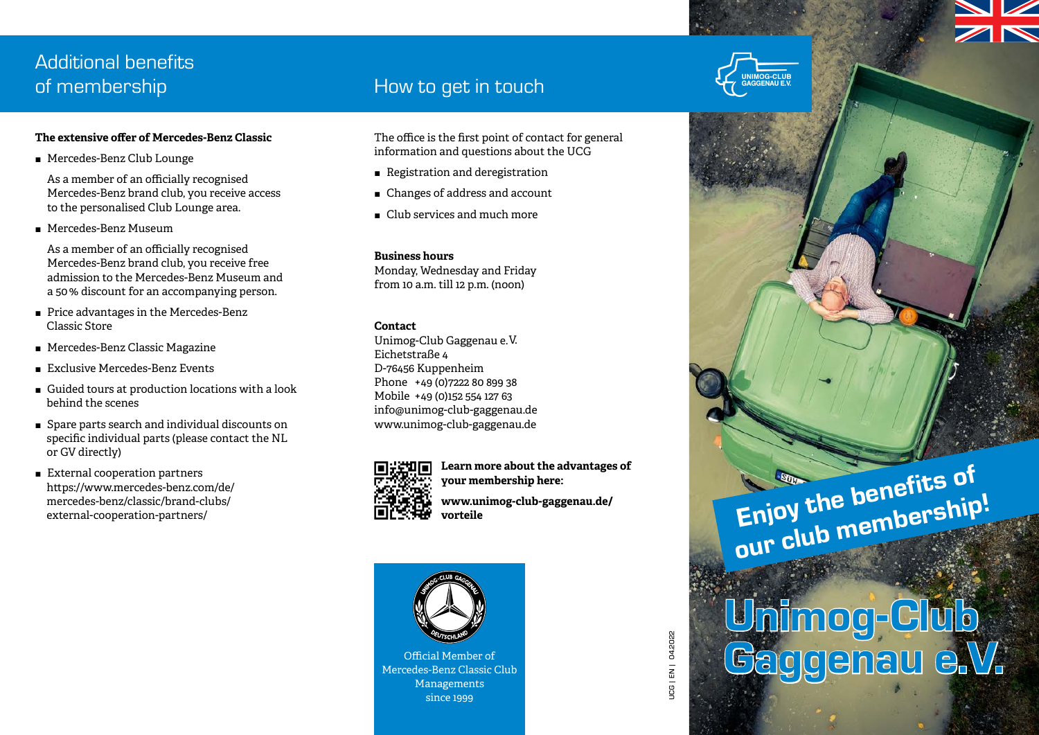# Additional benefits

# **The extensive offer of Mercedes-Benz Classic**

■ Mercedes-Benz Club Lounge

 As a member of an officially recognised Mercedes-Benz brand club, you receive access to the personalised Club Lounge area.

Mercedes-Benz Museum

 As a member of an officially recognised Mercedes-Benz brand club, you receive free admission to the Mercedes-Benz Museum and a 50 % discount for an accompanying person.

- **Price advantages in the Mercedes-Benz** Classic Store
- Mercedes-Benz Classic Magazine
- Exclusive Mercedes-Benz Events
- Guided tours at production locations with a look behind the scenes
- Spare parts search and individual discounts on specific individual parts (please contact the NL or GV directly)
- External cooperation partners https://www.mercedes-benz.com/de/ mercedes-benz/classic/brand-clubs/ external-cooperation-partners/

# of membership entitled a state of the How to get in touch

The office is the first point of contact for general information and questions about the UCG

- $\blacksquare$  Registration and deregistration
- $\blacksquare$  Changes of address and account
- $\blacksquare$  Club services and much more

**Business hours** Monday, Wednesday and Friday from 10 a.m. till 12 p.m. (noon)

# **Contact**

Unimog-Club Gaggenau e.V. Eichetstraße 4 D-76456 Kuppenheim Phone +49 (0)7222 80 899 38 Mobile +49 (0)152 554 127 63 info@unimog-club-gaggenau.de www.unimog-club-gaggenau.de



**Learn more about the advantages of your membership here: www.unimog-club-gaggenau.de/ vorteile**



Mercedes-Benz Classic Club Managements since 1999



# $\begin{picture}(180,140) \put(0,0){\vector(1,0){180}} \put(15,0){\vector(1,0){180}} \put(15,0){\vector(1,0){180}} \put(15,0){\vector(1,0){180}} \put(15,0){\vector(1,0){180}} \put(15,0){\vector(1,0){180}} \put(15,0){\vector(1,0){180}} \put(15,0){\vector(1,0){180}} \put(15,0){\vector(1,0){180}} \put(15,0){\vector(1,0){180}} \put(15,0){\vector(1,0){180$